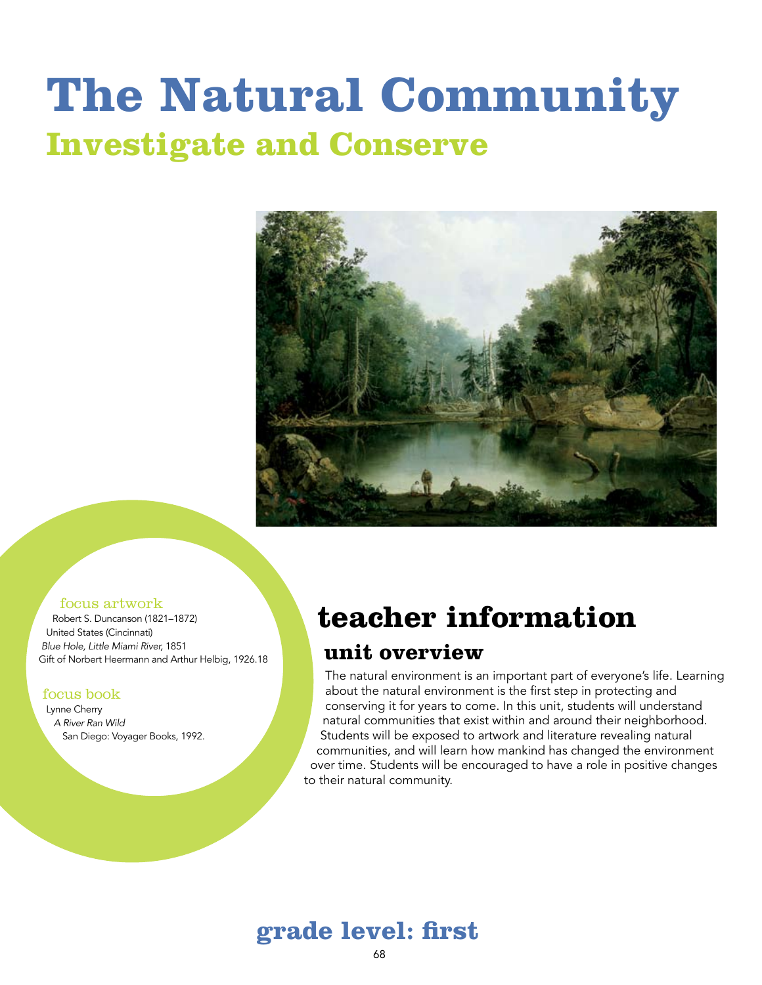# **The Natural Community Investigate and Conserve**



#### focus artwork

Robert S. Duncanson (1821–1872) United States (Cincinnati) *Blue Hole, Little Miami River,* 1851 Gift of Norbert Heermann and Arthur Helbig, 1926.18

#### focus book

Lynne Cherry *A River Ran Wild* San Diego: Voyager Books, 1992.

### **teacher information**

#### **unit overview**

The natural environment is an important part of everyone's life. Learning about the natural environment is the first step in protecting and conserving it for years to come. In this unit, students will understand natural communities that exist within and around their neighborhood. Students will be exposed to artwork and literature revealing natural communities, and will learn how mankind has changed the environment over time. Students will be encouraged to have a role in positive changes to their natural community.

### **grade level: first**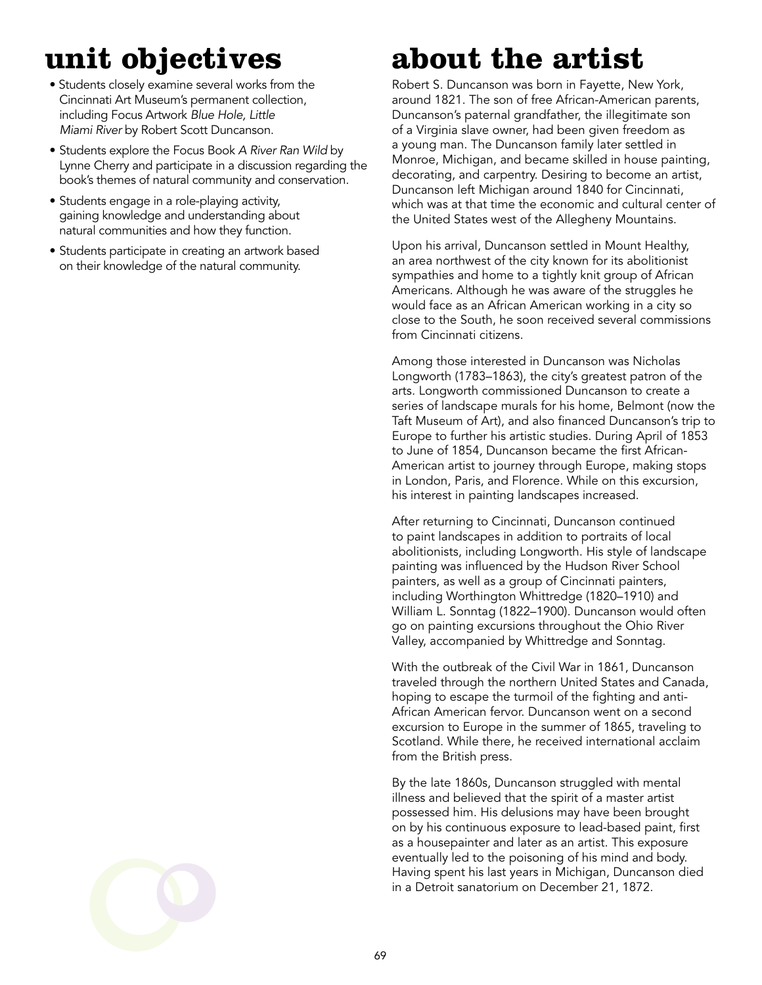## **unit objectives**

- Students closely examine several works from the Cincinnati Art Museum's permanent collection, including Focus Artwork *Blue Hole, Little Miami River* by Robert Scott Duncanson.
- Students explore the Focus Book *A River Ran Wild* by Lynne Cherry and participate in a discussion regarding the book's themes of natural community and conservation.
- Students engage in a role-playing activity, gaining knowledge and understanding about natural communities and how they function.
- Students participate in creating an artwork based on their knowledge of the natural community.

## **about the artist**

Robert S. Duncanson was born in Fayette, New York, around 1821. The son of free African-American parents, Duncanson's paternal grandfather, the illegitimate son of a Virginia slave owner, had been given freedom as a young man. The Duncanson family later settled in Monroe, Michigan, and became skilled in house painting, decorating, and carpentry. Desiring to become an artist, Duncanson left Michigan around 1840 for Cincinnati, which was at that time the economic and cultural center of the United States west of the Allegheny Mountains.

Upon his arrival, Duncanson settled in Mount Healthy, an area northwest of the city known for its abolitionist sympathies and home to a tightly knit group of African Americans. Although he was aware of the struggles he would face as an African American working in a city so close to the South, he soon received several commissions from Cincinnati citizens.

Among those interested in Duncanson was Nicholas Longworth (1783–1863), the city's greatest patron of the arts. Longworth commissioned Duncanson to create a series of landscape murals for his home, Belmont (now the Taft Museum of Art), and also financed Duncanson's trip to Europe to further his artistic studies. During April of 1853 to June of 1854, Duncanson became the first African-American artist to journey through Europe, making stops in London, Paris, and Florence. While on this excursion, his interest in painting landscapes increased.

After returning to Cincinnati, Duncanson continued to paint landscapes in addition to portraits of local abolitionists, including Longworth. His style of landscape painting was influenced by the Hudson River School painters, as well as a group of Cincinnati painters, including Worthington Whittredge (1820–1910) and William L. Sonntag (1822–1900). Duncanson would often go on painting excursions throughout the Ohio River Valley, accompanied by Whittredge and Sonntag.

With the outbreak of the Civil War in 1861, Duncanson traveled through the northern United States and Canada, hoping to escape the turmoil of the fighting and anti-African American fervor. Duncanson went on a second excursion to Europe in the summer of 1865, traveling to Scotland. While there, he received international acclaim from the British press.

By the late 1860s, Duncanson struggled with mental illness and believed that the spirit of a master artist possessed him. His delusions may have been brought on by his continuous exposure to lead-based paint, first as a housepainter and later as an artist. This exposure eventually led to the poisoning of his mind and body. Having spent his last years in Michigan, Duncanson died in a Detroit sanatorium on December 21, 1872.

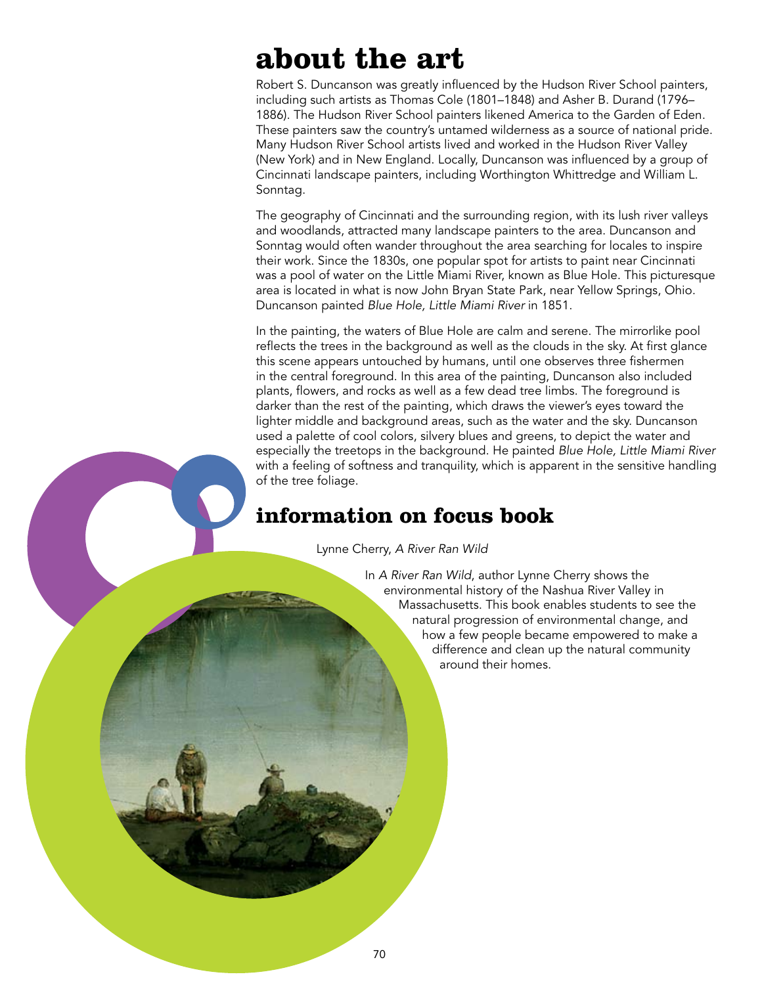### **about the art**

Robert S. Duncanson was greatly influenced by the Hudson River School painters, including such artists as Thomas Cole (1801–1848) and Asher B. Durand (1796– 1886). The Hudson River School painters likened America to the Garden of Eden. These painters saw the country's untamed wilderness as a source of national pride. Many Hudson River School artists lived and worked in the Hudson River Valley (New York) and in New England. Locally, Duncanson was influenced by a group of Cincinnati landscape painters, including Worthington Whittredge and William L. Sonntag.

The geography of Cincinnati and the surrounding region, with its lush river valleys and woodlands, attracted many landscape painters to the area. Duncanson and Sonntag would often wander throughout the area searching for locales to inspire their work. Since the 1830s, one popular spot for artists to paint near Cincinnati was a pool of water on the Little Miami River, known as Blue Hole. This picturesque area is located in what is now John Bryan State Park, near Yellow Springs, Ohio. Duncanson painted *Blue Hole, Little Miami River* in 1851.

In the painting, the waters of Blue Hole are calm and serene. The mirrorlike pool reflects the trees in the background as well as the clouds in the sky. At first glance this scene appears untouched by humans, until one observes three fishermen in the central foreground. In this area of the painting, Duncanson also included plants, flowers, and rocks as well as a few dead tree limbs. The foreground is darker than the rest of the painting, which draws the viewer's eyes toward the lighter middle and background areas, such as the water and the sky. Duncanson used a palette of cool colors, silvery blues and greens, to depict the water and especially the treetops in the background. He painted *Blue Hole, Little Miami River* with a feeling of softness and tranquility, which is apparent in the sensitive handling of the tree foliage.

### **information on focus book**

Lynne Cherry, *A River Ran Wild*

In *A River Ran Wild*, author Lynne Cherry shows the environmental history of the Nashua River Valley in Massachusetts. This book enables students to see the natural progression of environmental change, and how a few people became empowered to make a difference and clean up the natural community around their homes.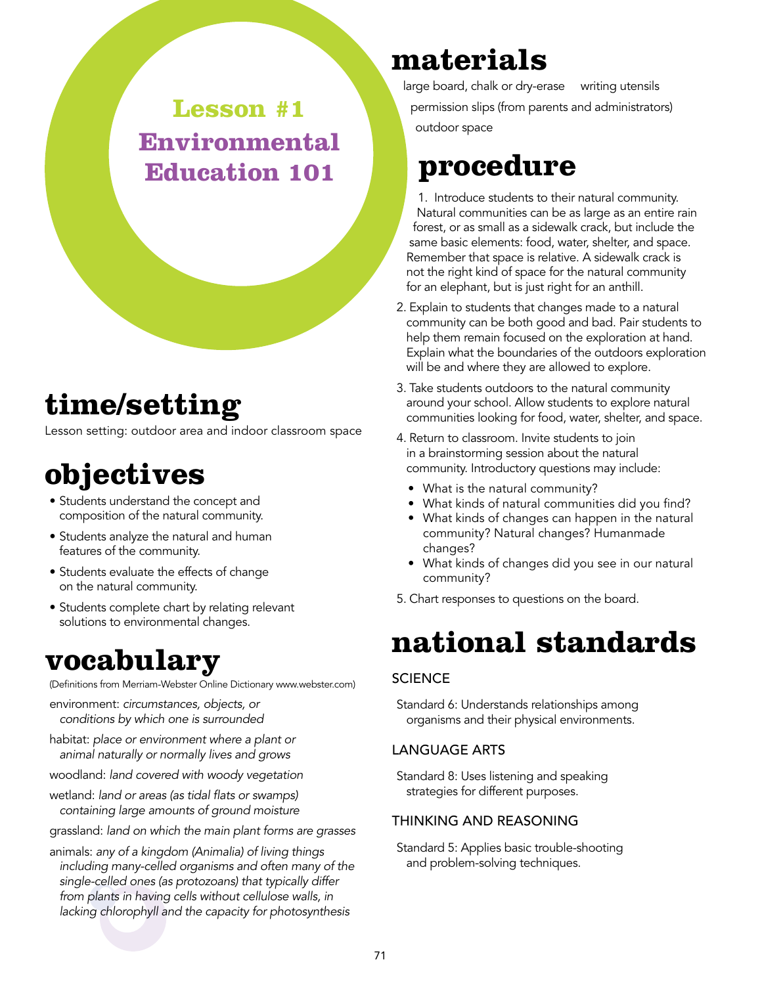**Lesson #1 Environmental Education 101**

### **time/setting**

Lesson setting: outdoor area and indoor classroom space

### **objectives**

- Students understand the concept and composition of the natural community.
- Students analyze the natural and human features of the community.
- Students evaluate the effects of change on the natural community.
- Students complete chart by relating relevant solutions to environmental changes.

### **vocabulary**

(Definitions from Merriam-Webster Online Dictionary www.webster.com)

- environment: *circumstances, objects, or conditions by which one is surrounded*
- habitat: *place or environment where a plant or animal naturally or normally lives and grows*
- woodland: *land covered with woody vegetation*
- wetland: *land or areas (as tidal flats or swamps) containing large amounts of ground moisture*
- grassland: *land on which the main plant forms are grasses*
- animals: *any of a kingdom (Animalia) of living things including many-celled organisms and often many of the single-celled ones (as protozoans) that typically differ from plants in having cells without cellulose walls, in lacking chlorophyll and the capacity for photosynthesis*

### **materials**

large board, chalk or dry-erase writing utensils permission slips (from parents and administrators) outdoor space

### **procedure**

1. Introduce students to their natural community. Natural communities can be as large as an entire rain forest, or as small as a sidewalk crack, but include the same basic elements: food, water, shelter, and space. Remember that space is relative. A sidewalk crack is not the right kind of space for the natural community for an elephant, but is just right for an anthill.

- 2. Explain to students that changes made to a natural community can be both good and bad. Pair students to help them remain focused on the exploration at hand. Explain what the boundaries of the outdoors exploration will be and where they are allowed to explore.
- 3. Take students outdoors to the natural community around your school. Allow students to explore natural communities looking for food, water, shelter, and space.
- 4. Return to classroom. Invite students to join in a brainstorming session about the natural community. Introductory questions may include:
	- What is the natural community?
	- What kinds of natural communities did you find?
	- What kinds of changes can happen in the natural community? Natural changes? Humanmade changes?
	- What kinds of changes did you see in our natural community?
- 5. Chart responses to questions on the board.

### **national standards**

#### **SCIENCE**

Standard 6: Understands relationships among organisms and their physical environments.

#### Language Arts

Standard 8: Uses listening and speaking strategies for different purposes.

#### Thinking and Reasoning

Standard 5: Applies basic trouble-shooting and problem-solving techniques.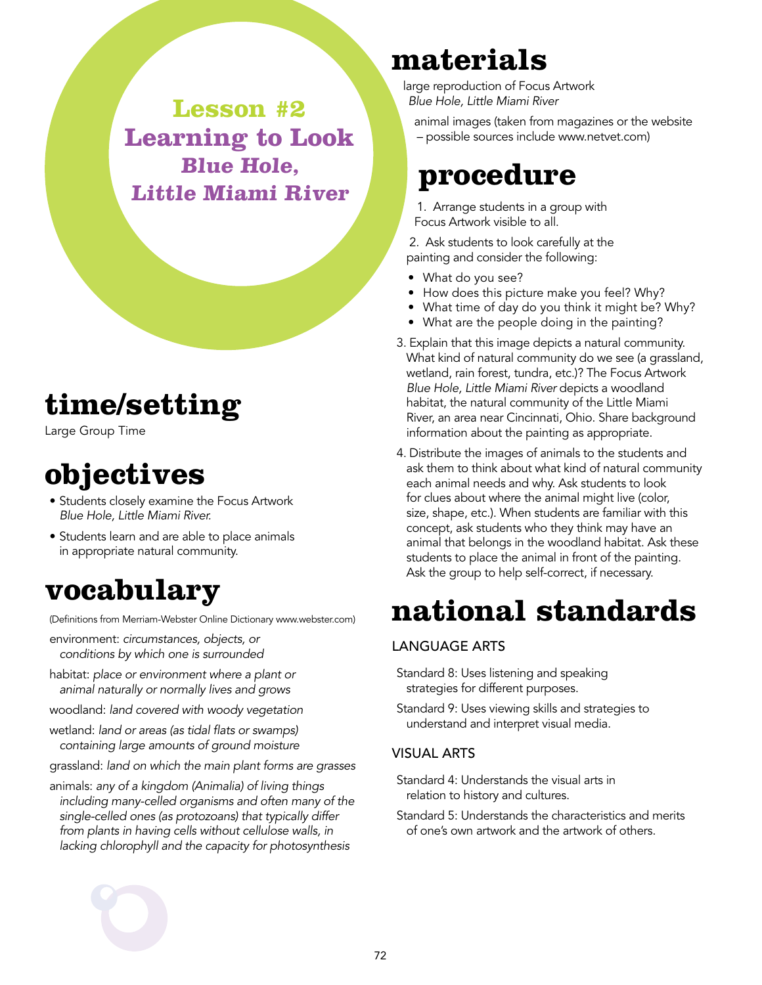**Lesson #2 Learning to Look Blue Hole, Little Miami River**

### **time/setting**

Large Group Time

### **objectives**

- Students closely examine the Focus Artwork *Blue Hole, Little Miami River.*
- Students learn and are able to place animals in appropriate natural community.

### **vocabulary**

(Definitions from Merriam-Webster Online Dictionary www.webster.com)

- environment: *circumstances, objects, or conditions by which one is surrounded*
- habitat: *place or environment where a plant or animal naturally or normally lives and grows*
- woodland: *land covered with woody vegetation*
- wetland: *land or areas (as tidal flats or swamps) containing large amounts of ground moisture*
- grassland: *land on which the main plant forms are grasses*
- animals: *any of a kingdom (Animalia) of living things including many-celled organisms and often many of the single-celled ones (as protozoans) that typically differ from plants in having cells without cellulose walls, in lacking chlorophyll and the capacity for photosynthesis*

### **materials**

large reproduction of Focus Artwork *Blue Hole, Little Miami River*

animal images (taken from magazines or the website – possible sources include www.netvet.com)

### **procedure**

1. Arrange students in a group with Focus Artwork visible to all.

2. Ask students to look carefully at the painting and consider the following:

- What do you see?
- How does this picture make you feel? Why?
- What time of day do you think it might be? Why?
- What are the people doing in the painting?
- 3. Explain that this image depicts a natural community. What kind of natural community do we see (a grassland, wetland, rain forest, tundra, etc.)? The Focus Artwork *Blue Hole, Little Miami River* depicts a woodland habitat, the natural community of the Little Miami River, an area near Cincinnati, Ohio. Share background information about the painting as appropriate.
- 4. Distribute the images of animals to the students and ask them to think about what kind of natural community each animal needs and why. Ask students to look for clues about where the animal might live (color, size, shape, etc.). When students are familiar with this concept, ask students who they think may have an animal that belongs in the woodland habitat. Ask these students to place the animal in front of the painting. Ask the group to help self-correct, if necessary.

## **national standards**

#### Language Arts

- Standard 8: Uses listening and speaking strategies for different purposes.
- Standard 9: Uses viewing skills and strategies to understand and interpret visual media.

#### Visual Arts

- Standard 4: Understands the visual arts in relation to history and cultures.
- Standard 5: Understands the characteristics and merits of one's own artwork and the artwork of others.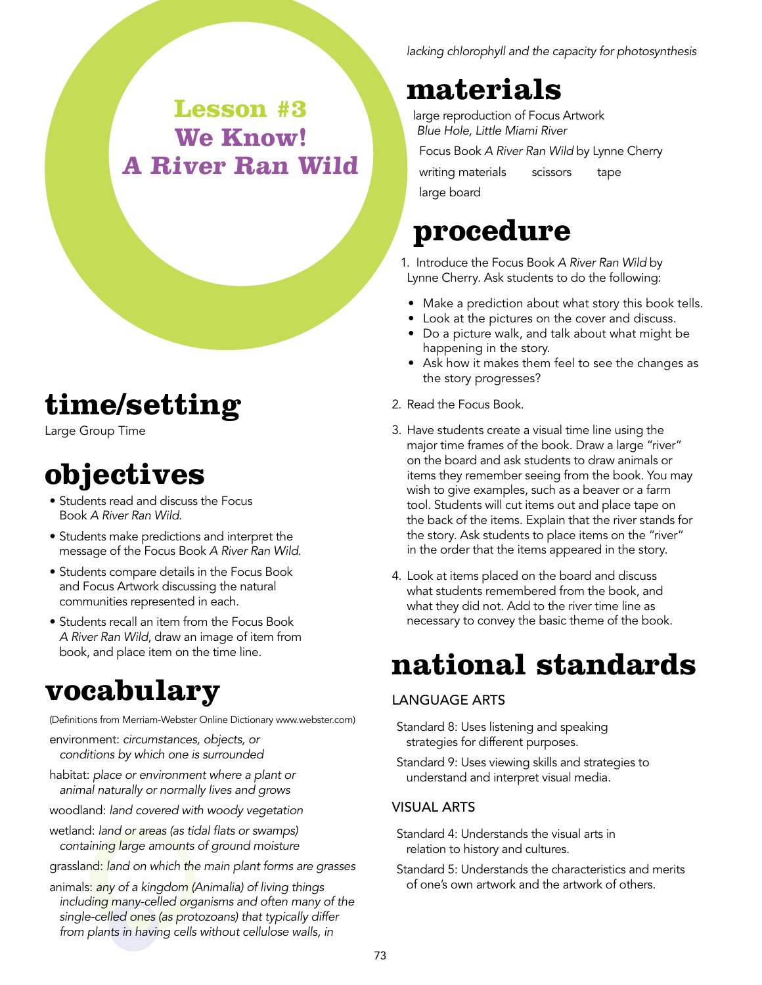**Lesson #3 We Know! A River Ran Wild**

### **time/setting**

Large Group Time

### **objectives**

- Students read and discuss the Focus Book *A River Ran Wild*.
- Students make predictions and interpret the message of the Focus Book *A River Ran Wild*.
- Students compare details in the Focus Book and Focus Artwork discussing the natural communities represented in each.
- Students recall an item from the Focus Book *A River Ran Wild*, draw an image of item from book, and place item on the time line.

### **vocabulary**

(Definitions from Merriam-Webster Online Dictionary www.webster.com)

- environment: *circumstances, objects, or conditions by which one is surrounded*
- habitat: *place or environment where a plant or animal naturally or normally lives and grows*
- woodland: *land covered with woody vegetation*
- wetland: *land or areas (as tidal flats or swamps) containing large amounts of ground moisture*
- grassland: *land on which the main plant forms are grasses*
- animals: *any of a kingdom (Animalia) of living things including many-celled organisms and often many of the single-celled ones (as protozoans) that typically differ from plants in having cells without cellulose walls, in*

*lacking chlorophyll and the capacity for photosynthesis*

### **materials**

large reproduction of Focus Artwork *Blue Hole, Little Miami River*

Focus Book *A River Ran Wild* by Lynne Cherry writing materials scissors tape

large board

### **procedure**

- 1. Introduce the Focus Book *A River Ran Wild* by Lynne Cherry. Ask students to do the following:
- Make a prediction about what story this book tells.
- Look at the pictures on the cover and discuss.
- Do a picture walk, and talk about what might be happening in the story.
- Ask how it makes them feel to see the changes as the story progresses?
- 2. Read the Focus Book.
- 3. Have students create a visual time line using the major time frames of the book. Draw a large "river" on the board and ask students to draw animals or items they remember seeing from the book. You may wish to give examples, such as a beaver or a farm tool. Students will cut items out and place tape on the back of the items. Explain that the river stands for the story. Ask students to place items on the "river" in the order that the items appeared in the story.
- 4. Look at items placed on the board and discuss what students remembered from the book, and what they did not. Add to the river time line as necessary to convey the basic theme of the book.

### **national standards**

#### Language Arts

Standard 8: Uses listening and speaking strategies for different purposes.

Standard 9: Uses viewing skills and strategies to understand and interpret visual media.

#### Visual Arts

- Standard 4: Understands the visual arts in relation to history and cultures.
- Standard 5: Understands the characteristics and merits of one's own artwork and the artwork of others.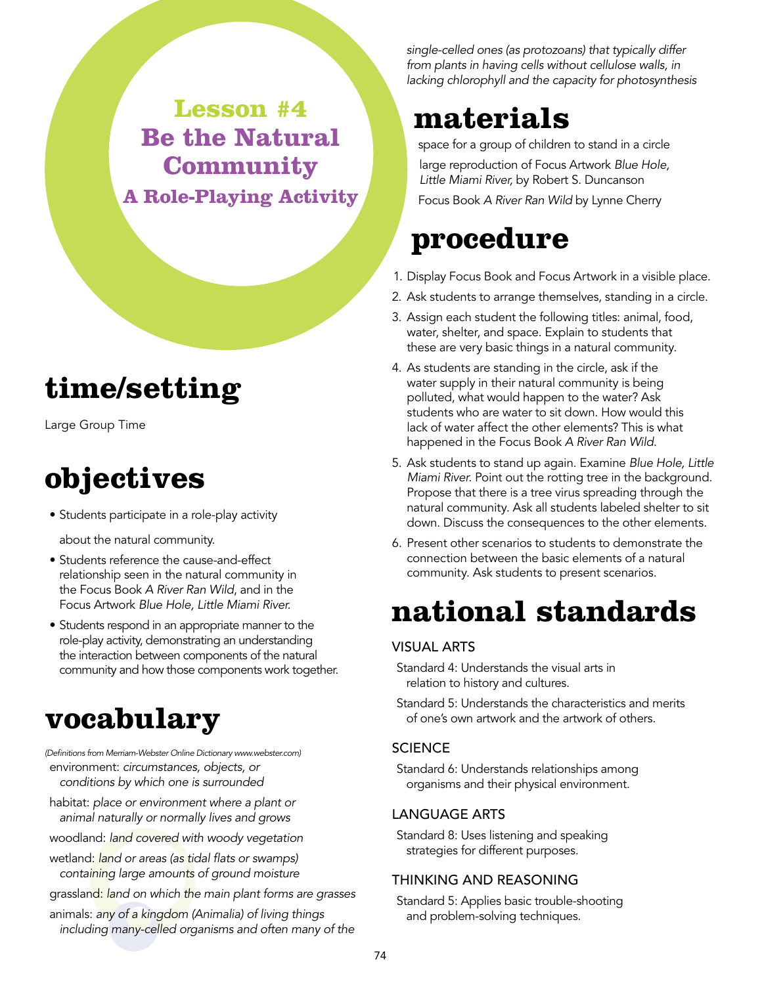### **Lesson #4 Be the Natural Community A Role-Playing Activity**

### **time/setting**

Large Group Time

### **objectives**

• Students participate in a role-play activity

about the natural community.

- Students reference the cause-and-effect relationship seen in the natural community in the Focus Book *A River Ran Wild*, and in the Focus Artwork *Blue Hole, Little Miami River.*
- Students respond in an appropriate manner to the role-play activity, demonstrating an understanding the interaction between components of the natural community and how those components work together.

### **vocabulary**

*(Definitions from Merriam-Webster Online Dictionary www.webster.com)* environment: *circumstances, objects, or conditions by which one is surrounded*

- habitat: *place or environment where a plant or animal naturally or normally lives and grows*
- woodland: *land covered with woody vegetation*
- wetland: *land or areas (as tidal flats or swamps) containing large amounts of ground moisture*
- grassland: *land on which the main plant forms are grasses*
- animals: *any of a kingdom (Animalia) of living things including many-celled organisms and often many of the*

*single-celled ones (as protozoans) that typically differ from plants in having cells without cellulose walls, in lacking chlorophyll and the capacity for photosynthesis*

### **materials**

space for a group of children to stand in a circle large reproduction of Focus Artwork *Blue Hole, Little Miami River,* by Robert S. Duncanson

Focus Book *A River Ran Wild* by Lynne Cherry

### **procedure**

- 1. Display Focus Book and Focus Artwork in a visible place.
- 2. Ask students to arrange themselves, standing in a circle.
- 3. Assign each student the following titles: animal, food, water, shelter, and space. Explain to students that these are very basic things in a natural community.
- 4. As students are standing in the circle, ask if the water supply in their natural community is being polluted, what would happen to the water? Ask students who are water to sit down. How would this lack of water affect the other elements? This is what happened in the Focus Book *A River Ran Wild*.
- 5. Ask students to stand up again. Examine *Blue Hole, Little Miami River*. Point out the rotting tree in the background. Propose that there is a tree virus spreading through the natural community. Ask all students labeled shelter to sit down. Discuss the consequences to the other elements.
- 6. Present other scenarios to students to demonstrate the connection between the basic elements of a natural community. Ask students to present scenarios.

### **national standards**

#### Visual Arts

- Standard 4: Understands the visual arts in relation to history and cultures.
- Standard 5: Understands the characteristics and merits of one's own artwork and the artwork of others.

#### **SCIENCE**

Standard 6: Understands relationships among organisms and their physical environment.

#### Language Arts

Standard 8: Uses listening and speaking strategies for different purposes.

#### Thinking and Reasoning

Standard 5: Applies basic trouble-shooting and problem-solving techniques.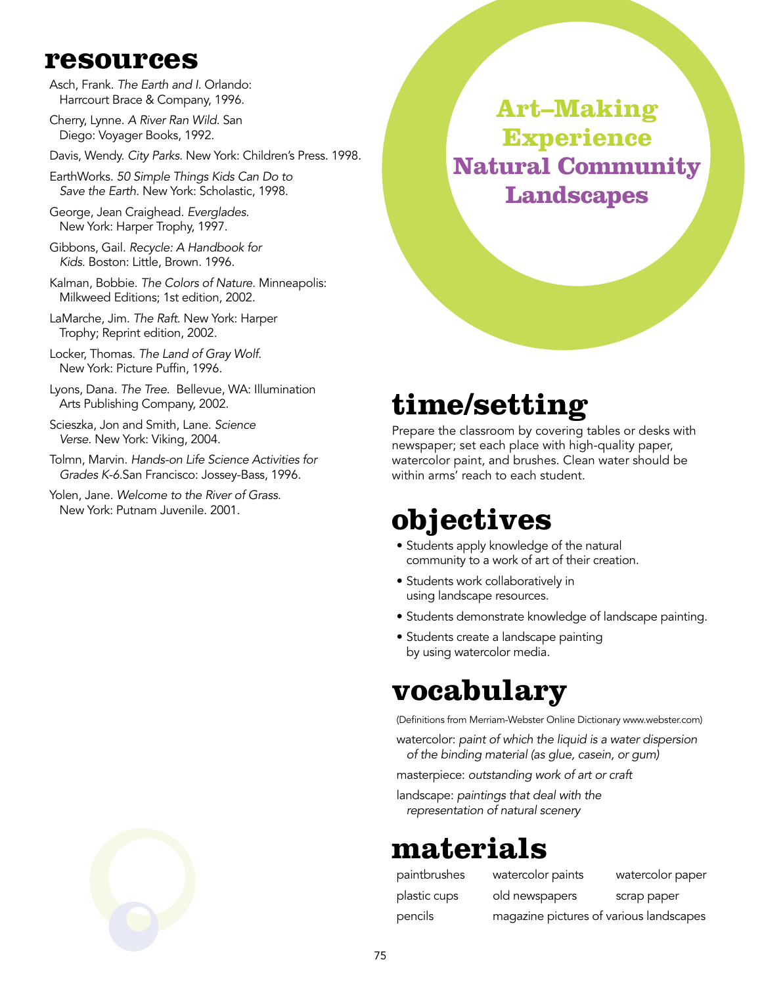### **resources**

- Asch, Frank. *The Earth and I*. Orlando: Harrcourt Brace & Company, 1996.
- Cherry, Lynne. *A River Ran Wild*. San Diego: Voyager Books, 1992.
- Davis, Wendy. *City Parks*. New York: Children's Press. 1998.
- EarthWorks. *50 Simple Things Kids Can Do to Save the Earth*. New York: Scholastic, 1998.
- George, Jean Craighead. *Everglades*. New York: Harper Trophy, 1997.
- Gibbons, Gail. *Recycle: A Handbook for Kids*. Boston: Little, Brown. 1996.
- Kalman, Bobbie. *The Colors of Nature*. Minneapolis: Milkweed Editions; 1st edition, 2002.
- LaMarche, Jim. *The Raft*. New York: Harper Trophy; Reprint edition, 2002.
- Locker, Thomas. *The Land of Gray Wolf*. New York: Picture Puffin, 1996.
- Lyons, Dana. *The Tree*. Bellevue, WA: Illumination Arts Publishing Company, 2002.
- Scieszka, Jon and Smith, Lane. *Science Verse*. New York: Viking, 2004.
- Tolmn, Marvin. *Hands-on Life Science Activities for Grades K-6*.San Francisco: Jossey-Bass, 1996.
- Yolen, Jane. *Welcome to the River of Grass*. New York: Putnam Juvenile. 2001.



### **time/setting**

Prepare the classroom by covering tables or desks with newspaper; set each place with high-quality paper, watercolor paint, and brushes. Clean water should be within arms' reach to each student.

### **objectives**

- Students apply knowledge of the natural community to a work of art of their creation.
- Students work collaboratively in using landscape resources.
- Students demonstrate knowledge of landscape painting.
- Students create a landscape painting by using watercolor media.

### **vocabulary**

(Definitions from Merriam-Webster Online Dictionary www.webster.com)

watercolor: *paint of which the liquid is a water dispersion of the binding material (as glue, casein, or gum)*

masterpiece: *outstanding work of art or craft*

landscape: *paintings that deal with the representation of natural scenery*

### **materials**

| paintbrushes | watercolor paints                       | watercolor paper |
|--------------|-----------------------------------------|------------------|
| plastic cups | old newspapers                          | scrap paper      |
| pencils      | magazine pictures of various landscapes |                  |

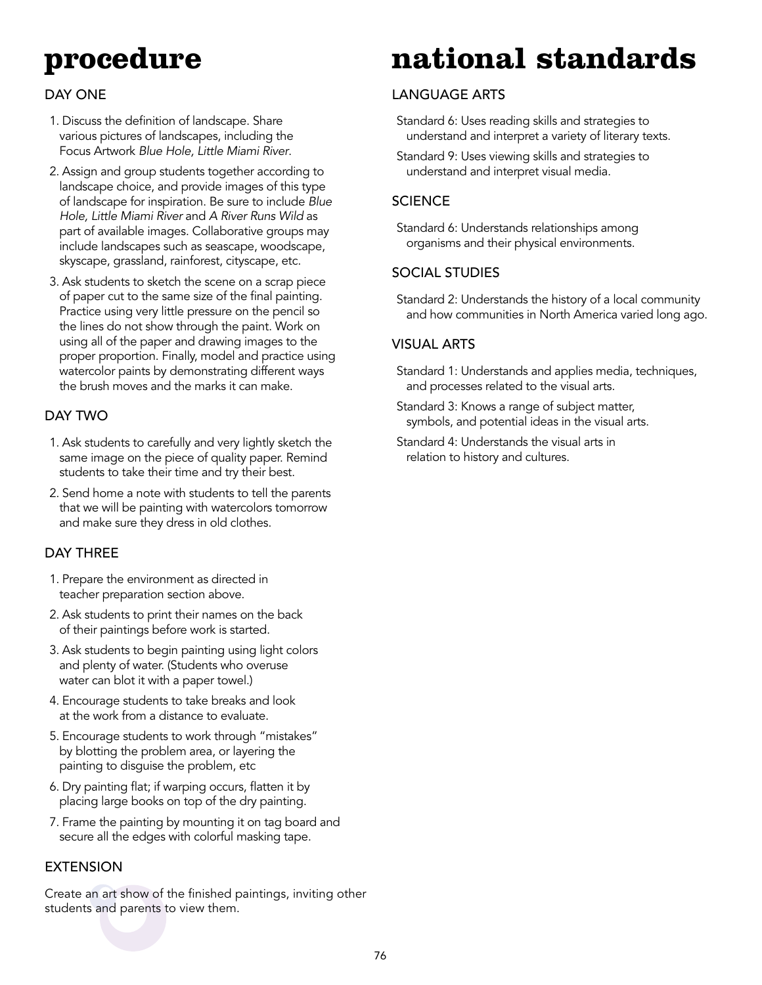### **procedure**

#### Day One

- 1. Discuss the definition of landscape. Share various pictures of landscapes, including the Focus Artwork *Blue Hole, Little Miami River*.
- 2. Assign and group students together according to landscape choice, and provide images of this type of landscape for inspiration. Be sure to include *Blue Hole, Little Miami River* and *A River Runs Wild* as part of available images. Collaborative groups may include landscapes such as seascape, woodscape, skyscape, grassland, rainforest, cityscape, etc.
- 3. Ask students to sketch the scene on a scrap piece of paper cut to the same size of the final painting. Practice using very little pressure on the pencil so the lines do not show through the paint. Work on using all of the paper and drawing images to the proper proportion. Finally, model and practice using watercolor paints by demonstrating different ways the brush moves and the marks it can make.

#### Day Two

- 1. Ask students to carefully and very lightly sketch the same image on the piece of quality paper. Remind students to take their time and try their best.
- 2. Send home a note with students to tell the parents that we will be painting with watercolors tomorrow and make sure they dress in old clothes.

#### Day Three

- 1. Prepare the environment as directed in teacher preparation section above.
- 2. Ask students to print their names on the back of their paintings before work is started.
- 3. Ask students to begin painting using light colors and plenty of water. (Students who overuse water can blot it with a paper towel.)
- 4. Encourage students to take breaks and look at the work from a distance to evaluate.
- 5. Encourage students to work through "mistakes" by blotting the problem area, or layering the painting to disguise the problem, etc
- 6. Dry painting flat; if warping occurs, flatten it by placing large books on top of the dry painting.
- 7. Frame the painting by mounting it on tag board and secure all the edges with colorful masking tape.

#### **EXTENSION**

Create an art show of the finished paintings, inviting other students and parents to view them.

## **national standards**

#### Language Arts

Standard 6: Uses reading skills and strategies to understand and interpret a variety of literary texts.

Standard 9: Uses viewing skills and strategies to understand and interpret visual media.

#### **SCIENCE**

Standard 6: Understands relationships among organisms and their physical environments.

#### Social Studies

Standard 2: Understands the history of a local community and how communities in North America varied long ago.

#### Visual Arts

- Standard 1: Understands and applies media, techniques, and processes related to the visual arts.
- Standard 3: Knows a range of subject matter, symbols, and potential ideas in the visual arts.
- Standard 4: Understands the visual arts in relation to history and cultures.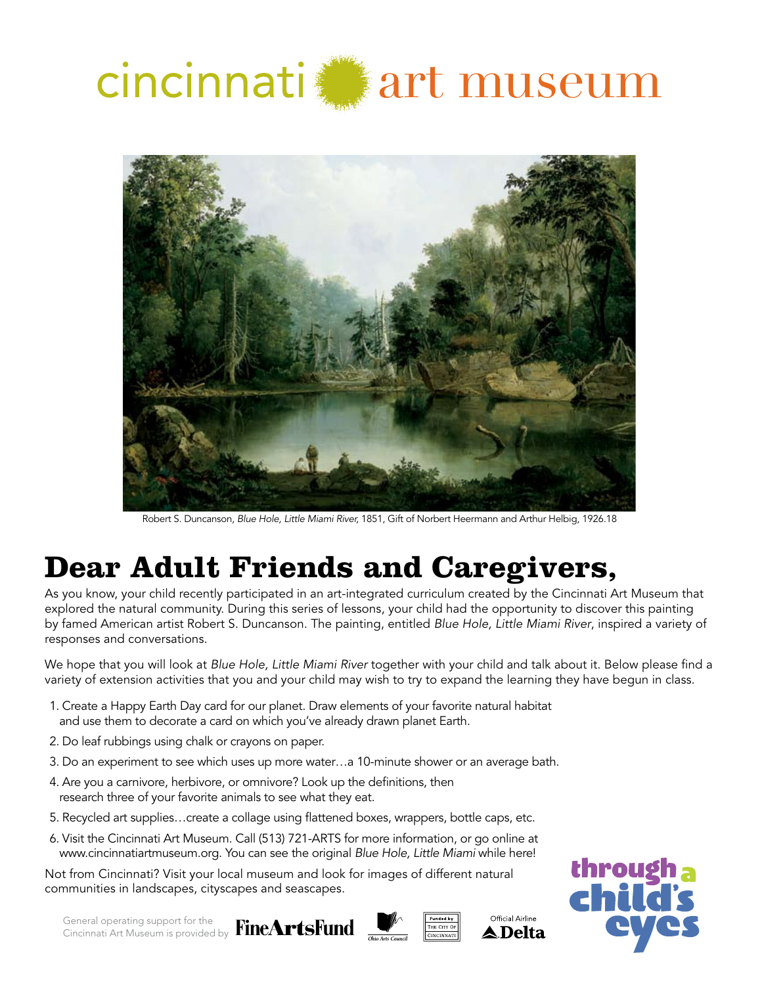



Robert S. Duncanson, *Blue Hole, Little Miami River,* 1851, Gift of Norbert Heermann and Arthur Helbig, 1926.18

### **Dear Adult Friends and Caregivers,**

As you know, your child recently participated in an art-integrated curriculum created by the Cincinnati Art Museum that explored the natural community. During this series of lessons, your child had the opportunity to discover this painting by famed American artist Robert S. Duncanson. The painting, entitled *Blue Hole, Little Miami River*, inspired a variety of responses and conversations.

We hope that you will look at *Blue Hole, Little Miami River* together with your child and talk about it. Below please find a variety of extension activities that you and your child may wish to try to expand the learning they have begun in class.

- 1. Create a Happy Earth Day card for our planet. Draw elements of your favorite natural habitat and use them to decorate a card on which you've already drawn planet Earth.
- 2. Do leaf rubbings using chalk or crayons on paper.
- 3. Do an experiment to see which uses up more water…a 10-minute shower or an average bath.
- 4. Are you a carnivore, herbivore, or omnivore? Look up the definitions, then research three of your favorite animals to see what they eat.
- 5. Recycled art supplies…create a collage using flattened boxes, wrappers, bottle caps, etc.
- 6. Visit the Cincinnati Art Museum. Call (513) 721-ARTS for more information, or go online at www.cincinnatiartmuseum.org. You can see the original *Blue Hole, Little Miami* while here!

Not from Cincinnati? Visit your local museum and look for images of different natural communities in landscapes, cityscapes and seascapes.

General operating support for the Cincinnati Art Museum is provided by